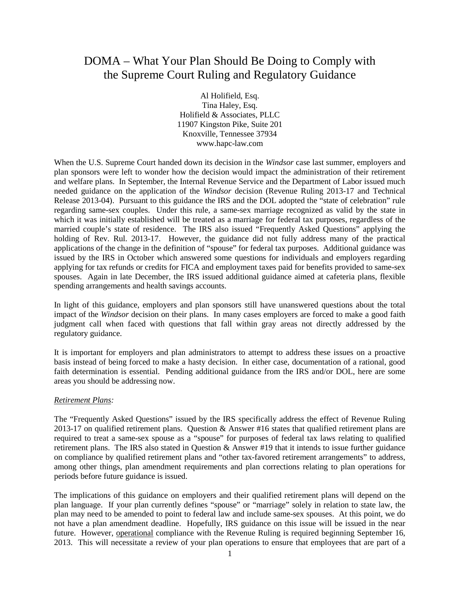## DOMA – What Your Plan Should Be Doing to Comply with the Supreme Court Ruling and Regulatory Guidance

Al Holifield, Esq. Tina Haley, Esq. Holifield & Associates, PLLC 11907 Kingston Pike, Suite 201 Knoxville, Tennessee 37934 www.hapc-law.com

When the U.S. Supreme Court handed down its decision in the *Windsor* case last summer, employers and plan sponsors were left to wonder how the decision would impact the administration of their retirement and welfare plans. In September, the Internal Revenue Service and the Department of Labor issued much needed guidance on the application of the *Windsor* decision (Revenue Ruling 2013-17 and Technical Release 2013-04). Pursuant to this guidance the IRS and the DOL adopted the "state of celebration" rule regarding same-sex couples. Under this rule, a same-sex marriage recognized as valid by the state in which it was initially established will be treated as a marriage for federal tax purposes, regardless of the married couple's state of residence. The IRS also issued "Frequently Asked Questions" applying the holding of Rev. Rul. 2013-17. However, the guidance did not fully address many of the practical applications of the change in the definition of "spouse" for federal tax purposes. Additional guidance was issued by the IRS in October which answered some questions for individuals and employers regarding applying for tax refunds or credits for FICA and employment taxes paid for benefits provided to same-sex spouses. Again in late December, the IRS issued additional guidance aimed at cafeteria plans, flexible spending arrangements and health savings accounts.

In light of this guidance, employers and plan sponsors still have unanswered questions about the total impact of the *Windsor* decision on their plans. In many cases employers are forced to make a good faith judgment call when faced with questions that fall within gray areas not directly addressed by the regulatory guidance.

It is important for employers and plan administrators to attempt to address these issues on a proactive basis instead of being forced to make a hasty decision. In either case, documentation of a rational, good faith determination is essential. Pending additional guidance from the IRS and/or DOL, here are some areas you should be addressing now.

## *Retirement Plans:*

The "Frequently Asked Questions" issued by the IRS specifically address the effect of Revenue Ruling 2013-17 on qualified retirement plans. Question & Answer #16 states that qualified retirement plans are required to treat a same-sex spouse as a "spouse" for purposes of federal tax laws relating to qualified retirement plans. The IRS also stated in Question & Answer #19 that it intends to issue further guidance on compliance by qualified retirement plans and "other tax-favored retirement arrangements" to address, among other things, plan amendment requirements and plan corrections relating to plan operations for periods before future guidance is issued.

The implications of this guidance on employers and their qualified retirement plans will depend on the plan language. If your plan currently defines "spouse" or "marriage" solely in relation to state law, the plan may need to be amended to point to federal law and include same-sex spouses. At this point, we do not have a plan amendment deadline. Hopefully, IRS guidance on this issue will be issued in the near future. However, operational compliance with the Revenue Ruling is required beginning September 16, 2013. This will necessitate a review of your plan operations to ensure that employees that are part of a